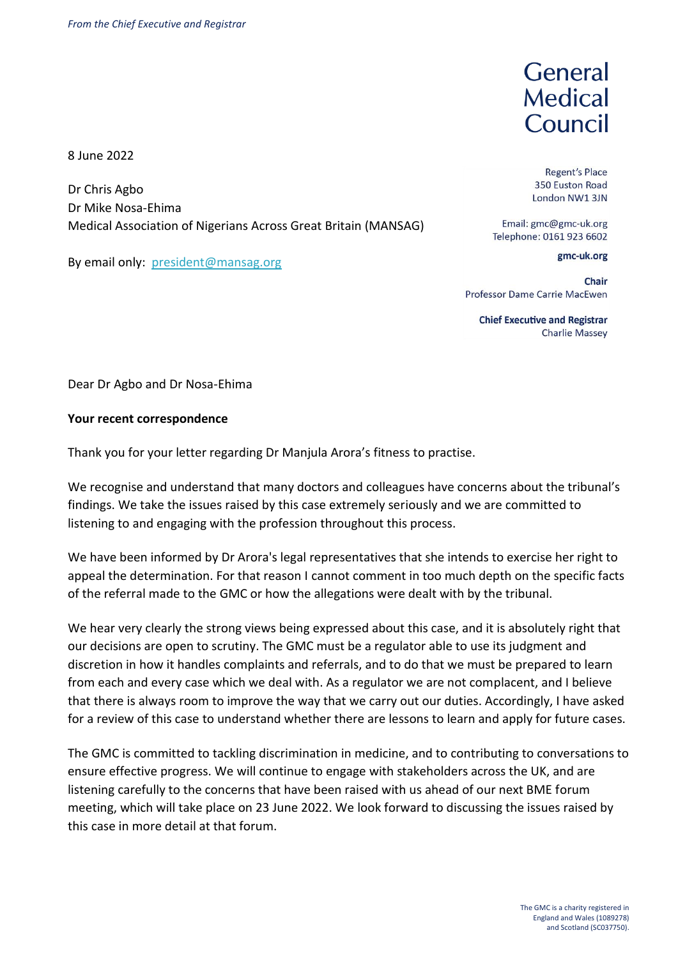8 June 2022

Dr Chris Agbo Dr Mike Nosa-Ehima Medical Association of Nigerians Across Great Britain (MANSAG)

By email only: [president@mansag.org](mailto:president@mansag.org)

General Medical Council

**Regent's Place** 350 Euston Road London NW1 3JN

Email: gmc@gmc-uk.org Telephone: 0161 923 6602

gmc-uk.org

Chair Professor Dame Carrie MacEwen

**Chief Executive and Registrar Charlie Massey** 

Dear Dr Agbo and Dr Nosa-Ehima

## **Your recent correspondence**

Thank you for your letter regarding Dr Manjula Arora's fitness to practise.

We recognise and understand that many doctors and colleagues have concerns about the tribunal's findings. We take the issues raised by this case extremely seriously and we are committed to listening to and engaging with the profession throughout this process.

We have been informed by Dr Arora's legal representatives that she intends to exercise her right to appeal the determination. For that reason I cannot comment in too much depth on the specific facts of the referral made to the GMC or how the allegations were dealt with by the tribunal.

We hear very clearly the strong views being expressed about this case, and it is absolutely right that our decisions are open to scrutiny. The GMC must be a regulator able to use its judgment and discretion in how it handles complaints and referrals, and to do that we must be prepared to learn from each and every case which we deal with. As a regulator we are not complacent, and I believe that there is always room to improve the way that we carry out our duties. Accordingly, I have asked for a review of this case to understand whether there are lessons to learn and apply for future cases.

The GMC is committed to tackling discrimination in medicine, and to contributing to conversations to ensure effective progress. We will continue to engage with stakeholders across the UK, and are listening carefully to the concerns that have been raised with us ahead of our next BME forum meeting, which will take place on 23 June 2022. We look forward to discussing the issues raised by this case in more detail at that forum.